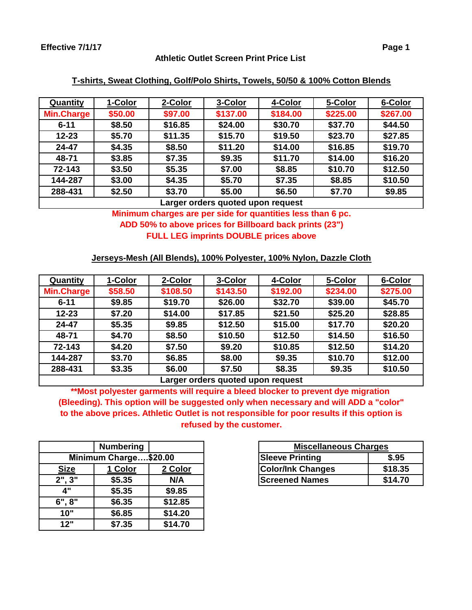### **Athletic Outlet Screen Print Price List**

| Quantity                          | 1-Color | 2-Color | 3-Color  | 4-Color  | 5-Color  | 6-Color  |
|-----------------------------------|---------|---------|----------|----------|----------|----------|
| <b>Min.Charge</b>                 | \$50.00 | \$97.00 | \$137.00 | \$184.00 | \$225.00 | \$267.00 |
| $6 - 11$                          | \$8.50  | \$16.85 | \$24.00  | \$30.70  | \$37.70  | \$44.50  |
| $12 - 23$                         | \$5.70  | \$11.35 | \$15.70  | \$19.50  | \$23.70  | \$27.85  |
| 24-47                             | \$4.35  | \$8.50  | \$11.20  | \$14.00  | \$16.85  | \$19.70  |
| 48-71                             | \$3.85  | \$7.35  | \$9.35   | \$11.70  | \$14.00  | \$16.20  |
| 72-143                            | \$3.50  | \$5.35  | \$7.00   | \$8.85   | \$10.70  | \$12.50  |
| 144-287                           | \$3.00  | \$4.35  | \$5.70   | \$7.35   | \$8.85   | \$10.50  |
| 288-431                           | \$2.50  | \$3.70  | \$5.00   | \$6.50   | \$7.70   | \$9.85   |
| Larger orders quoted upon request |         |         |          |          |          |          |

### **T-shirts, Sweat Clothing, Golf/Polo Shirts, Towels, 50/50 & 100% Cotton Blends**

# **Minimum charges are per side for quantities less than 6 pc. ADD 50% to above prices for Billboard back prints (23") FULL LEG imprints DOUBLE prices above**

# **Jerseys-Mesh (All Blends), 100% Polyester, 100% Nylon, Dazzle Cloth**

| <b>Quantity</b>                  | 1-Color | 2-Color  | 3-Color  | 4-Color  | 5-Color  | 6-Color  |
|----------------------------------|---------|----------|----------|----------|----------|----------|
| <b>Min.Charge</b>                | \$58.50 | \$108.50 | \$143.50 | \$192.00 | \$234.00 | \$275.00 |
| $6 - 11$                         | \$9.85  | \$19.70  | \$26.00  | \$32.70  | \$39.00  | \$45.70  |
| $12 - 23$                        | \$7.20  | \$14.00  | \$17.85  | \$21.50  | \$25.20  | \$28.85  |
| 24-47                            | \$5.35  | \$9.85   | \$12.50  | \$15.00  | \$17.70  | \$20.20  |
| 48-71                            | \$4.70  | \$8.50   | \$10.50  | \$12.50  | \$14.50  | \$16.50  |
| 72-143                           | \$4.20  | \$7.50   | \$9.20   | \$10.85  | \$12.50  | \$14.20  |
| 144-287                          | \$3.70  | \$6.85   | \$8.00   | \$9.35   | \$10.70  | \$12.00  |
| 288-431                          | \$3.35  | \$6.00   | \$7.50   | \$8.35   | \$9.35   | \$10.50  |
| arger argers guated upon request |         |          |          |          |          |          |

**Larger orders quoted upon request**

**\*\*Most polyester garments will require a bleed blocker to prevent dye migration (Bleeding). This option will be suggested only when necessary and will ADD a "color" to the above prices. Athletic Outlet is not responsible for poor results if this option is refused by the customer.**

|                       | <b>Numbering</b> |         |  |  |  |
|-----------------------|------------------|---------|--|--|--|
| Minimum Charge\$20.00 |                  |         |  |  |  |
| <b>Size</b>           | 1 Color          | 2 Color |  |  |  |
| 2", 3"                | \$5.35           | N/A     |  |  |  |
| 4"                    | \$5.35           | \$9.85  |  |  |  |
| 6", 8"                | \$6.35           | \$12.85 |  |  |  |
| 10"                   | \$6.85           | \$14.20 |  |  |  |
| 12"                   | \$7.35           | \$14.70 |  |  |  |

|             | <b>Numbering</b>      |         | <b>Miscellaneous Charges</b> |         |
|-------------|-----------------------|---------|------------------------------|---------|
|             | Minimum Charge\$20.00 |         | <b>Sleeve Printing</b>       | \$.95   |
| <b>Size</b> | 1 Color               | 2 Color | <b>Color/Ink Changes</b>     | \$18.35 |
| 2", 3"      | \$5.35                | N/A     | <b>Screened Names</b>        | \$14.70 |